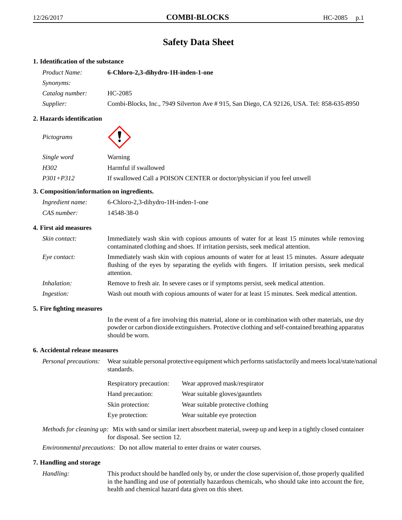# **Safety Data Sheet**

# **1. Identification of the substance**

| Product Name:    | 6-Chloro-2,3-dihydro-1H-inden-1-one                                                       |
|------------------|-------------------------------------------------------------------------------------------|
| Synonyms:        |                                                                                           |
| Catalog number:  | HC-2085                                                                                   |
| <i>Supplier:</i> | Combi-Blocks, Inc., 7949 Silverton Ave # 915, San Diego, CA 92126, USA. Tel: 858-635-8950 |

## **2. Hazards identification**

*Pictograms*



| Single word   | Warning                                                                  |
|---------------|--------------------------------------------------------------------------|
| H302          | Harmful if swallowed                                                     |
| $P301 + P312$ | If swallowed Call a POISON CENTER or doctor/physician if you feel unwell |

# **3. Composition/information on ingredients.**

| Ingredient name: | 6-Chloro-2,3-dihydro-1H-inden-1-one |
|------------------|-------------------------------------|
| CAS number:      | 14548-38-0                          |

# **4. First aid measures**

| Skin contact:      | Immediately wash skin with copious amounts of water for at least 15 minutes while removing<br>contaminated clothing and shoes. If irritation persists, seek medical attention.                                  |
|--------------------|-----------------------------------------------------------------------------------------------------------------------------------------------------------------------------------------------------------------|
| Eye contact:       | Immediately wash skin with copious amounts of water for at least 15 minutes. Assure adequate<br>flushing of the eyes by separating the eyelids with fingers. If irritation persists, seek medical<br>attention. |
| <i>Inhalation:</i> | Remove to fresh air. In severe cases or if symptoms persist, seek medical attention.                                                                                                                            |
| Ingestion:         | Wash out mouth with copious amounts of water for at least 15 minutes. Seek medical attention.                                                                                                                   |

# **5. Fire fighting measures**

In the event of a fire involving this material, alone or in combination with other materials, use dry powder or carbon dioxide extinguishers. Protective clothing and self-contained breathing apparatus should be worn.

# **6. Accidental release measures**

*Personal precautions:* Wear suitable personal protective equipment which performs satisfactorily and meets local/state/national standards.

| <b>Respiratory precaution:</b> | Wear approved mask/respirator     |
|--------------------------------|-----------------------------------|
| Hand precaution:               | Wear suitable gloves/gauntlets    |
| Skin protection:               | Wear suitable protective clothing |
| Eye protection:                | Wear suitable eye protection      |

*Methods for cleaning up:* Mix with sand or similar inert absorbent material, sweep up and keep in a tightly closed container for disposal. See section 12.

*Environmental precautions:* Do not allow material to enter drains or water courses.

#### **7. Handling and storage**

*Handling:* This product should be handled only by, or under the close supervision of, those properly qualified in the handling and use of potentially hazardous chemicals, who should take into account the fire, health and chemical hazard data given on this sheet.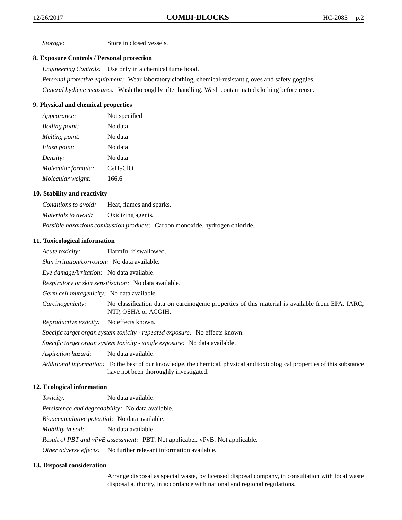*Storage:* Store in closed vessels.

# **8. Exposure Controls / Personal protection**

*Engineering Controls:* Use only in a chemical fume hood.

*Personal protective equipment:* Wear laboratory clothing, chemical-resistant gloves and safety goggles. *General hydiene measures:* Wash thoroughly after handling. Wash contaminated clothing before reuse.

# **9. Physical and chemical properties**

| Appearance:           | Not specified |
|-----------------------|---------------|
| <i>Boiling point:</i> | No data       |
| Melting point:        | No data       |
| Flash point:          | No data       |
| Density:              | No data       |
| Molecular formula:    | $C_9H_7ClO$   |
| Molecular weight:     | 166.6         |

## **10. Stability and reactivity**

*Conditions to avoid:* Heat, flames and sparks. *Materials to avoid:* Oxidizing agents. *Possible hazardous combustion products:* Carbon monoxide, hydrogen chloride.

#### **11. Toxicological information**

| Acute toxicity:                                                              | Harmful if swallowed.                                                                                                                                                 |  |
|------------------------------------------------------------------------------|-----------------------------------------------------------------------------------------------------------------------------------------------------------------------|--|
| <i>Skin irritation/corrosion:</i> No data available.                         |                                                                                                                                                                       |  |
| <i>Eye damage/irritation:</i> No data available.                             |                                                                                                                                                                       |  |
|                                                                              | Respiratory or skin sensitization: No data available.                                                                                                                 |  |
| <i>Germ cell mutagenicity:</i> No data available.                            |                                                                                                                                                                       |  |
| Carcinogenicity:                                                             | No classification data on carcinogenic properties of this material is available from EPA, IARC,<br>NTP, OSHA or ACGIH.                                                |  |
| <i>Reproductive toxicity:</i> No effects known.                              |                                                                                                                                                                       |  |
| Specific target organ system toxicity - repeated exposure: No effects known. |                                                                                                                                                                       |  |
| Specific target organ system toxicity - single exposure: No data available.  |                                                                                                                                                                       |  |
| Aspiration hazard:                                                           | No data available.                                                                                                                                                    |  |
|                                                                              | Additional information: To the best of our knowledge, the chemical, physical and toxicological properties of this substance<br>have not been thoroughly investigated. |  |

# **12. Ecological information**

| <i>Toxicity:</i>                                                                     | No data available.                                                       |  |
|--------------------------------------------------------------------------------------|--------------------------------------------------------------------------|--|
| <i>Persistence and degradability:</i> No data available.                             |                                                                          |  |
| <i>Bioaccumulative potential:</i> No data available.                                 |                                                                          |  |
| <i>Mobility in soil:</i> No data available.                                          |                                                                          |  |
| <i>Result of PBT and vPvB assessment:</i> PBT: Not applicabel. vPvB: Not applicable. |                                                                          |  |
|                                                                                      | <i>Other adverse effects:</i> No further relevant information available. |  |

## **13. Disposal consideration**

Arrange disposal as special waste, by licensed disposal company, in consultation with local waste disposal authority, in accordance with national and regional regulations.